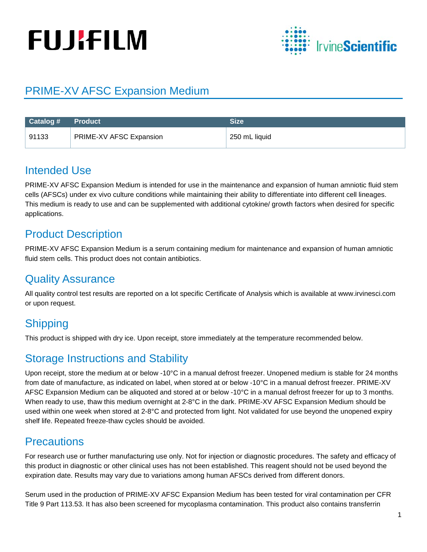# **FUJIFILM**



## PRIME-XV AFSC Expansion Medium

| Catalog # Product |                         | Size          |
|-------------------|-------------------------|---------------|
| 91133             | PRIME-XV AFSC Expansion | 250 mL liquid |

## Intended Use

PRIME-XV AFSC Expansion Medium is intended for use in the maintenance and expansion of human amniotic fluid stem cells (AFSCs) under ex vivo culture conditions while maintaining their ability to differentiate into different cell lineages. This medium is ready to use and can be supplemented with additional cytokine/ growth factors when desired for specific applications.

## Product Description

PRIME-XV AFSC Expansion Medium is a serum containing medium for maintenance and expansion of human amniotic fluid stem cells. This product does not contain antibiotics.

## Quality Assurance

All quality control test results are reported on a lot specific Certificate of Analysis which is available at www.irvinesci.com or upon request.

# **Shipping**

This product is shipped with dry ice. Upon receipt, store immediately at the temperature recommended below.

## Storage Instructions and Stability

Upon receipt, store the medium at or below -10°C in a manual defrost freezer. Unopened medium is stable for 24 months from date of manufacture, as indicated on label, when stored at or below -10°C in a manual defrost freezer. PRIME-XV AFSC Expansion Medium can be aliquoted and stored at or below -10°C in a manual defrost freezer for up to 3 months. When ready to use, thaw this medium overnight at 2-8°C in the dark. PRIME-XV AFSC Expansion Medium should be used within one week when stored at 2-8°C and protected from light. Not validated for use beyond the unopened expiry shelf life. Repeated freeze-thaw cycles should be avoided.

## **Precautions**

For research use or further manufacturing use only. Not for injection or diagnostic procedures. The safety and efficacy of this product in diagnostic or other clinical uses has not been established. This reagent should not be used beyond the expiration date. Results may vary due to variations among human AFSCs derived from different donors.

Serum used in the production of PRIME-XV AFSC Expansion Medium has been tested for viral contamination per CFR Title 9 Part 113.53. It has also been screened for mycoplasma contamination. This product also contains transferrin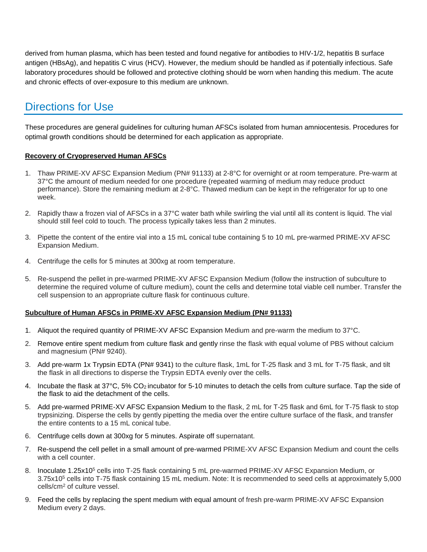derived from human plasma, which has been tested and found negative for antibodies to HIV-1/2, hepatitis B surface antigen (HBsAg), and hepatitis C virus (HCV). However, the medium should be handled as if potentially infectious. Safe laboratory procedures should be followed and protective clothing should be worn when handing this medium. The acute and chronic effects of over-exposure to this medium are unknown.

## Directions for Use

These procedures are general guidelines for culturing human AFSCs isolated from human amniocentesis. Procedures for optimal growth conditions should be determined for each application as appropriate.

#### **Recovery of Cryopreserved Human AFSCs**

- 1. Thaw PRIME-XV AFSC Expansion Medium (PN# 91133) at 2-8°C for overnight or at room temperature. Pre-warm at 37°C the amount of medium needed for one procedure (repeated warming of medium may reduce product performance). Store the remaining medium at 2-8°C. Thawed medium can be kept in the refrigerator for up to one week.
- 2. Rapidly thaw a frozen vial of AFSCs in a 37°C water bath while swirling the vial until all its content is liquid. The vial should still feel cold to touch. The process typically takes less than 2 minutes.
- 3. Pipette the content of the entire vial into a 15 mL conical tube containing 5 to 10 mL pre-warmed PRIME-XV AFSC Expansion Medium.
- 4. Centrifuge the cells for 5 minutes at 300xg at room temperature.
- 5. Re-suspend the pellet in pre-warmed PRIME-XV AFSC Expansion Medium (follow the instruction of subculture to determine the required volume of culture medium), count the cells and determine total viable cell number. Transfer the cell suspension to an appropriate culture flask for continuous culture.

#### **Subculture of Human AFSCs in PRIME-XV AFSC Expansion Medium (PN# 91133)**

- 1. Aliquot the required quantity of PRIME-XV AFSC Expansion Medium and pre-warm the medium to 37°C.
- 2. Remove entire spent medium from culture flask and gently rinse the flask with equal volume of PBS without calcium and magnesium (PN# 9240).
- 3. Add pre-warm 1x Trypsin EDTA (PN# 9341) to the culture flask, 1mL for T-25 flask and 3 mL for T-75 flask, and tilt the flask in all directions to disperse the Trypsin EDTA evenly over the cells.
- 4. Incubate the flask at 37°C, 5% CO2 incubator for 5-10 minutes to detach the cells from culture surface. Tap the side of the flask to aid the detachment of the cells.
- 5. Add pre-warmed PRIME-XV AFSC Expansion Medium to the flask, 2 mL for T-25 flask and 6mL for T-75 flask to stop trypsinizing. Disperse the cells by gently pipetting the media over the entire culture surface of the flask, and transfer the entire contents to a 15 mL conical tube.
- 6. Centrifuge cells down at 300xg for 5 minutes. Aspirate off supernatant.
- 7. Re-suspend the cell pellet in a small amount of pre-warmed PRIME-XV AFSC Expansion Medium and count the cells with a cell counter.
- 8. Inoculate 1.25x10<sup>5</sup> cells into T-25 flask containing 5 mL pre-warmed PRIME-XV AFSC Expansion Medium, or 3.75x105 cells into T-75 flask containing 15 mL medium. Note: It is recommended to seed cells at approximately 5,000 cells/cm2 of culture vessel.
- 9. Feed the cells by replacing the spent medium with equal amount of fresh pre-warm PRIME-XV AFSC Expansion Medium every 2 days.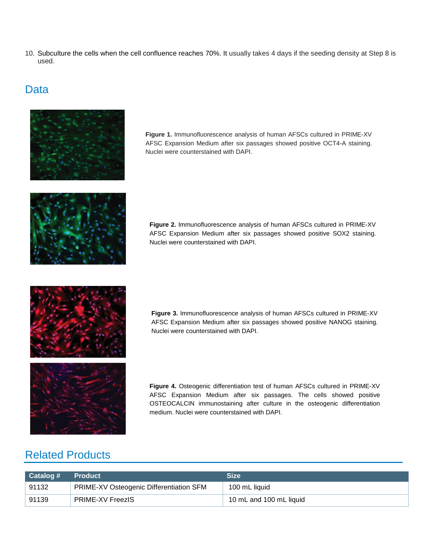10. Subculture the cells when the cell confluence reaches 70%. It usually takes 4 days if the seeding density at Step 8 is used.

## **Data**



**Figure 1.** Immunofluorescence analysis of human AFSCs cultured in PRIME-XV AFSC Expansion Medium after six passages showed positive OCT4-A staining. Nuclei were counterstained with DAPI.



**Figure 2.** Immunofluorescence analysis of human AFSCs cultured in PRIME-XV AFSC Expansion Medium after six passages showed positive SOX2 staining. Nuclei were counterstained with DAPI.





**Figure 4.** Osteogenic differentiation test of human AFSCs cultured in PRIME-XV AFSC Expansion Medium after six passages. The cells showed positive OSTEOCALCIN immunostaining after culture in the osteogenic differentiation medium. Nuclei were counterstained with DAPI.

## Related Products

| $\mid$ Catalog # | <b>Product</b>                          | <b>Size</b>             |
|------------------|-----------------------------------------|-------------------------|
| 91132            | PRIME-XV Osteogenic Differentiation SFM | 100 mL liquid           |
| 91139            | <b>PRIME-XV FreezIS</b>                 | 10 mL and 100 mL liquid |